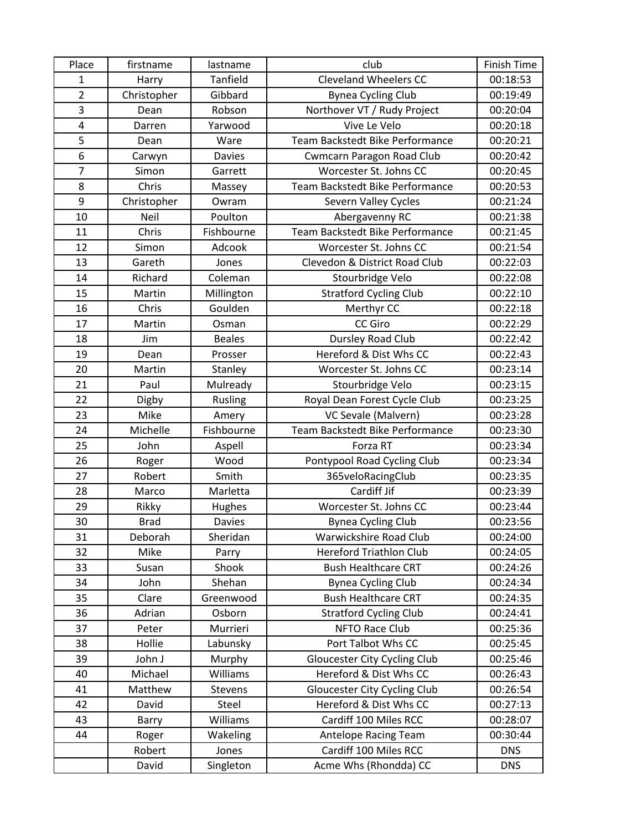| Place          | firstname   | lastname        | club                                   | <b>Finish Time</b> |
|----------------|-------------|-----------------|----------------------------------------|--------------------|
| 1              | Harry       | <b>Tanfield</b> | <b>Cleveland Wheelers CC</b>           | 00:18:53           |
| $\overline{2}$ | Christopher | Gibbard         | <b>Bynea Cycling Club</b>              | 00:19:49           |
| 3              | Dean        | Robson          | Northover VT / Rudy Project            | 00:20:04           |
| 4              | Darren      | Yarwood         | Vive Le Velo                           | 00:20:18           |
| 5              | Dean        | Ware            | Team Backstedt Bike Performance        | 00:20:21           |
| 6              | Carwyn      | Davies          | Cwmcarn Paragon Road Club              | 00:20:42           |
| $\overline{7}$ | Simon       | Garrett         | Worcester St. Johns CC                 | 00:20:45           |
| 8              | Chris       | Massey          | <b>Team Backstedt Bike Performance</b> | 00:20:53           |
| 9              | Christopher | Owram           | Severn Valley Cycles                   | 00:21:24           |
| 10             | Neil        | Poulton         | Abergavenny RC                         | 00:21:38           |
| 11             | Chris       | Fishbourne      | Team Backstedt Bike Performance        | 00:21:45           |
| 12             | Simon       | Adcook          | Worcester St. Johns CC                 | 00:21:54           |
| 13             | Gareth      | Jones           | Clevedon & District Road Club          | 00:22:03           |
| 14             | Richard     | Coleman         | Stourbridge Velo                       | 00:22:08           |
| 15             | Martin      | Millington      | <b>Stratford Cycling Club</b>          | 00:22:10           |
| 16             | Chris       | Goulden         | Merthyr CC                             | 00:22:18           |
| 17             | Martin      | Osman           | CC Giro                                | 00:22:29           |
| 18             | Jim         | <b>Beales</b>   | Dursley Road Club                      | 00:22:42           |
| 19             | Dean        | Prosser         | Hereford & Dist Whs CC                 | 00:22:43           |
| 20             | Martin      | Stanley         | Worcester St. Johns CC                 | 00:23:14           |
| 21             | Paul        | Mulready        | Stourbridge Velo                       | 00:23:15           |
| 22             | Digby       | Rusling         | Royal Dean Forest Cycle Club           | 00:23:25           |
| 23             | Mike        | Amery           | VC Sevale (Malvern)                    | 00:23:28           |
| 24             | Michelle    | Fishbourne      | Team Backstedt Bike Performance        | 00:23:30           |
| 25             | John        | Aspell          | Forza RT                               | 00:23:34           |
| 26             | Roger       | Wood            | Pontypool Road Cycling Club            | 00:23:34           |
| 27             | Robert      | Smith           | 365veloRacingClub                      | 00:23:35           |
| 28             | Marco       | Marletta        | Cardiff Jif                            | 00:23:39           |
| 29             | Rikky       | Hughes          | Worcester St. Johns CC                 | 00:23:44           |
| 30             | <b>Brad</b> | <b>Davies</b>   | <b>Bynea Cycling Club</b>              | 00:23:56           |
| 31             | Deborah     | Sheridan        | Warwickshire Road Club                 | 00:24:00           |
| 32             | Mike        | Parry           | <b>Hereford Triathlon Club</b>         | 00:24:05           |
| 33             | Susan       | Shook           | <b>Bush Healthcare CRT</b>             | 00:24:26           |
| 34             | John        | Shehan          | <b>Bynea Cycling Club</b>              | 00:24:34           |
| 35             | Clare       | Greenwood       | <b>Bush Healthcare CRT</b>             | 00:24:35           |
| 36             | Adrian      | Osborn          | <b>Stratford Cycling Club</b>          | 00:24:41           |
| 37             | Peter       | Murrieri        | NFTO Race Club                         | 00:25:36           |
| 38             | Hollie      | Labunsky        | Port Talbot Whs CC                     | 00:25:45           |
| 39             | John J      | Murphy          | <b>Gloucester City Cycling Club</b>    | 00:25:46           |
| 40             | Michael     | Williams        | Hereford & Dist Whs CC                 | 00:26:43           |
| 41             | Matthew     | Stevens         | <b>Gloucester City Cycling Club</b>    | 00:26:54           |
| 42             | David       | Steel           | Hereford & Dist Whs CC                 | 00:27:13           |
| 43             | Barry       | Williams        | Cardiff 100 Miles RCC                  | 00:28:07           |
| 44             | Roger       | Wakeling        | Antelope Racing Team                   | 00:30:44           |
|                | Robert      | Jones           | Cardiff 100 Miles RCC                  | <b>DNS</b>         |
|                | David       | Singleton       | Acme Whs (Rhondda) CC                  | <b>DNS</b>         |